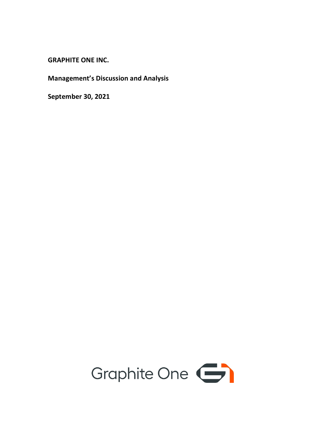**GRAPHITE ONE INC.**

**Management's Discussion and Analysis**

**September 30, 2021**

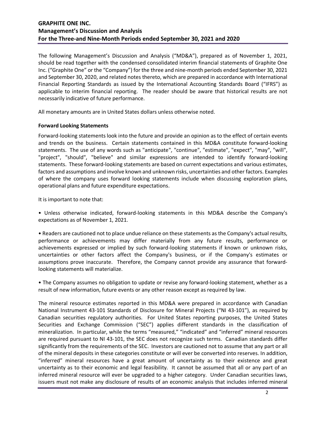The following Management's Discussion and Analysis ("MD&A"), prepared as of November 1, 2021, should be read together with the condensed consolidated interim financial statements of Graphite One Inc. ("Graphite One" or the "Company") for the three and nine-month periods ended September 30, 2021 and September 30, 2020, and related notes thereto, which are prepared in accordance with International Financial Reporting Standards as issued by the International Accounting Standards Board ("IFRS") as applicable to interim financial reporting. The reader should be aware that historical results are not necessarily indicative of future performance.

All monetary amounts are in United States dollars unless otherwise noted.

#### **Forward Looking Statements**

Forward-looking statements look into the future and provide an opinion as to the effect of certain events and trends on the business. Certain statements contained in this MD&A constitute forward-looking statements. The use of any words such as "anticipate", "continue", "estimate", "expect", "may", "will", "project", "should", "believe" and similar expressions are intended to identify forward-looking statements. These forward-looking statements are based on current expectations and various estimates, factors and assumptions and involve known and unknown risks, uncertainties and other factors. Examples of where the company uses forward looking statements include when discussing exploration plans, operational plans and future expenditure expectations.

It is important to note that:

• Unless otherwise indicated, forward-looking statements in this MD&A describe the Company's expectations as of November 1, 2021.

• Readers are cautioned not to place undue reliance on these statements as the Company's actual results, performance or achievements may differ materially from any future results, performance or achievements expressed or implied by such forward-looking statements if known or unknown risks, uncertainties or other factors affect the Company's business, or if the Company's estimates or assumptions prove inaccurate. Therefore, the Company cannot provide any assurance that forwardlooking statements will materialize.

• The Company assumes no obligation to update or revise any forward-looking statement, whether as a result of new information, future events or any other reason except as required by law.

The mineral resource estimates reported in this MD&A were prepared in accordance with Canadian National Instrument 43-101 Standards of Disclosure for Mineral Projects ("NI 43-101"), as required by Canadian securities regulatory authorities. For United States reporting purposes, the United States Securities and Exchange Commission ("SEC") applies different standards in the classification of mineralization. In particular, while the terms "measured," "indicated" and "inferred" mineral resources are required pursuant to NI 43-101, the SEC does not recognize such terms. Canadian standards differ significantly from the requirements of the SEC. Investors are cautioned not to assume that any part or all of the mineral deposits in these categories constitute or will ever be converted into reserves. In addition, "inferred" mineral resources have a great amount of uncertainty as to their existence and great uncertainty as to their economic and legal feasibility. It cannot be assumed that all or any part of an inferred mineral resource will ever be upgraded to a higher category. Under Canadian securities laws, issuers must not make any disclosure of results of an economic analysis that includes inferred mineral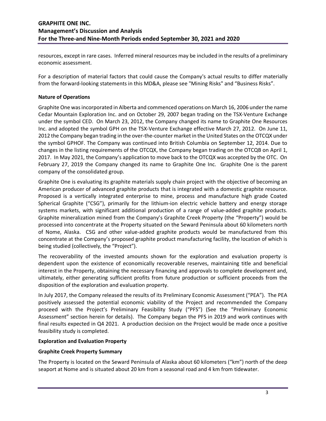resources, except in rare cases. Inferred mineral resources may be included in the results of a preliminary economic assessment.

For a description of material factors that could cause the Company's actual results to differ materially from the forward-looking statements in this MD&A, please see "Mining Risks" and "Business Risks".

## **Nature of Operations**

Graphite One was incorporated in Alberta and commenced operations on March 16, 2006 under the name Cedar Mountain Exploration Inc. and on October 29, 2007 began trading on the TSX-Venture Exchange under the symbol CED. On March 23, 2012, the Company changed its name to Graphite One Resources Inc. and adopted the symbol GPH on the TSX-Venture Exchange effective March 27, 2012. On June 11, 2012 the Company began trading in the over-the-counter market in the United States on the OTCQX under the symbol GPHOF. The Company was continued into British Columbia on September 12, 2014. Due to changes in the listing requirements of the OTCQX, the Company began trading on the OTCQB on April 1, 2017. In May 2021, the Company's application to move back to the OTCQX was accepted by the OTC. On February 27, 2019 the Company changed its name to Graphite One Inc. Graphite One is the parent company of the consolidated group.

Graphite One is evaluating its graphite materials supply chain project with the objective of becoming an American producer of advanced graphite products that is integrated with a domestic graphite resource. Proposed is a vertically integrated enterprise to mine, process and manufacture high grade Coated Spherical Graphite ("CSG"), primarily for the lithium-ion electric vehicle battery and energy storage systems markets, with significant additional production of a range of value-added graphite products. Graphite mineralization mined from the Company's Graphite Creek Property (the "Property") would be processed into concentrate at the Property situated on the Seward Peninsula about 60 kilometers north of Nome, Alaska. CSG and other value-added graphite products would be manufactured from this concentrate at the Company's proposed graphite product manufacturing facility, the location of which is being studied (collectively, the "Project").

The recoverability of the invested amounts shown for the exploration and evaluation property is dependent upon the existence of economically recoverable reserves, maintaining title and beneficial interest in the Property, obtaining the necessary financing and approvals to complete development and, ultimately, either generating sufficient profits from future production or sufficient proceeds from the disposition of the exploration and evaluation property.

In July 2017, the Company released the results of its Preliminary Economic Assessment ("PEA"). The PEA positively assessed the potential economic viability of the Project and recommended the Company proceed with the Project's Preliminary Feasibility Study ("PFS") (See the "Preliminary Economic Assessment" section herein for details). The Company began the PFS in 2019 and work continues with final results expected in Q4 2021. A production decision on the Project would be made once a positive feasibility study is completed.

#### **Exploration and Evaluation Property**

## **Graphite Creek Property Summary**

The Property is located on the Seward Peninsula of Alaska about 60 kilometers ("km") north of the deep seaport at Nome and is situated about 20 km from a seasonal road and 4 km from tidewater.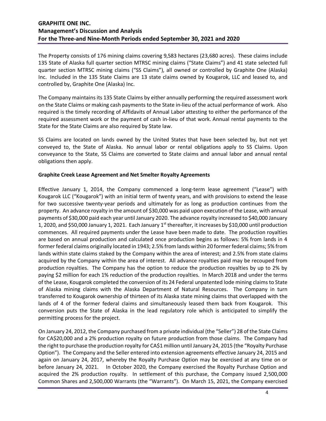The Property consists of 176 mining claims covering 9,583 hectares (23,680 acres). These claims include 135 State of Alaska full quarter section MTRSC mining claims ("State Claims") and 41 state selected full quarter section MTRSC mining claims ("SS Claims"), all owned or controlled by Graphite One (Alaska) Inc. Included in the 135 State Claims are 13 state claims owned by Kougarok, LLC and leased to, and controlled by, Graphite One (Alaska) Inc.

The Company maintains its 135 State Claims by either annually performing the required assessment work on the State Claims or making cash payments to the State in-lieu of the actual performance of work. Also required is the timely recording of Affidavits of Annual Labor attesting to either the performance of the required assessment work or the payment of cash in-lieu of that work. Annual rental payments to the State for the State Claims are also required by State law.

SS Claims are located on lands owned by the United States that have been selected by, but not yet conveyed to, the State of Alaska. No annual labor or rental obligations apply to SS Claims. Upon conveyance to the State, SS Claims are converted to State claims and annual labor and annual rental obligations then apply.

#### **Graphite Creek Lease Agreement and Net Smelter Royalty Agreements**

Effective January 1, 2014, the Company commenced a long-term lease agreement ("Lease") with Kougarok LLC ("Kougarok") with an initial term of twenty years, and with provisions to extend the lease for two successive twenty-year periods and ultimately for as long as production continues from the property. An advance royalty in the amount of \$30,000 was paid upon execution of the Lease, with annual payments of \$30,000 paid each year until January 2020. The advance royalty increased to \$40,000 January 1, 2020, and \$50,000 January 1, 2021. Each January 1<sup>st</sup> thereafter, it increases by \$10,000 until production commences. All required payments under the Lease have been made to date. The production royalties are based on annual production and calculated once production begins as follows: 5% from lands in 4 former federal claims originally located in 1943; 2.5% from lands within 20 former federal claims; 5% from lands within state claims staked by the Company within the area of interest; and 2.5% from state claims acquired by the Company within the area of interest. All advance royalties paid may be recouped from production royalties. The Company has the option to reduce the production royalties by up to 2% by paying \$2 million for each 1% reduction of the production royalties. In March 2018 and under the terms of the Lease, Kougarok completed the conversion of its 24 Federal unpatented lode mining claims to State of Alaska mining claims with the Alaska Department of Natural Resources. The Company in turn transferred to Kougarok ownership of thirteen of its Alaska state mining claims that overlapped with the lands of 4 of the former federal claims and simultaneously leased them back from Kougarok. This conversion puts the State of Alaska in the lead regulatory role which is anticipated to simplify the permitting process for the project.

On January 24, 2012, the Company purchased from a private individual (the "Seller") 28 of the State Claims for CA\$20,000 and a 2% production royalty on future production from those claims. The Company had the right to purchase the production royalty for CA\$1 million until January 24, 2015 (the "Royalty Purchase Option"). The Company and the Seller entered into extension agreements effective January 24, 2015 and again on January 24, 2017, whereby the Royalty Purchase Option may be exercised at any time on or before January 24, 2021. In October 2020, the Company exercised the Royalty Purchase Option and acquired the 2% production royalty. In settlement of this purchase, the Company issued 2,500,000 Common Shares and 2,500,000 Warrants (the "Warrants"). On March 15, 2021, the Company exercised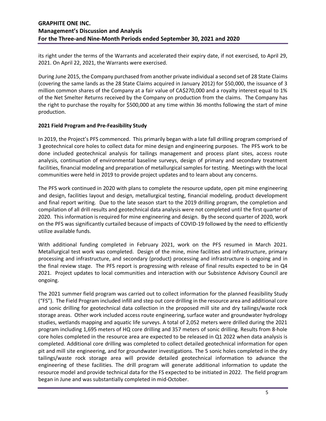its right under the terms of the Warrants and accelerated their expiry date, if not exercised, to April 29, 2021. On April 22, 2021, the Warrants were exercised.

During June 2015, the Company purchased from another private individual a second set of 28 State Claims (covering the same lands as the 28 State Claims acquired in January 2012) for \$50,000, the issuance of 3 million common shares of the Company at a fair value of CA\$270,000 and a royalty interest equal to 1% of the Net Smelter Returns received by the Company on production from the claims. The Company has the right to purchase the royalty for \$500,000 at any time within 36 months following the start of mine production.

### **2021 Field Program and Pre-Feasibility Study**

In 2019, the Project's PFS commenced. This primarily began with a late fall drilling program comprised of 3 geotechnical core holes to collect data for mine design and engineering purposes. The PFS work to be done included geotechnical analysis for tailings management and process plant sites, access route analysis, continuation of environmental baseline surveys, design of primary and secondary treatment facilities, financial modeling and preparation of metallurgical samples for testing. Meetings with the local communities were held in 2019 to provide project updates and to learn about any concerns.

The PFS work continued in 2020 with plans to complete the resource update, open pit mine engineering and design, facilities layout and design, metallurgical testing, financial modeling, product development and final report writing. Due to the late season start to the 2019 drilling program, the completion and compilation of all drill results and geotechnical data analysis were not completed until the first quarter of 2020. This information is required for mine engineering and design. By the second quarter of 2020, work on the PFS was significantly curtailed because of impacts of COVID-19 followed by the need to efficiently utilize available funds.

With additional funding completed in February 2021, work on the PFS resumed in March 2021. Metallurgical test work was completed. Design of the mine, mine facilities and infrastructure, primary processing and infrastructure, and secondary (product) processing and infrastructure is ongoing and in the final review stage. The PFS report is progressing with release of final results expected to be in Q4 2021. Project updates to local communities and interaction with our Subsistence Advisory Council are ongoing.

The 2021 summer field program was carried out to collect information for the planned Feasibility Study ("FS"). The Field Program included infill and step out core drilling in the resource area and additional core and sonic drilling for geotechnical data collection in the proposed mill site and dry tailings/waste rock storage areas. Other work included access route engineering, surface water and groundwater hydrology studies, wetlands mapping and aquatic life surveys. A total of 2,052 meters were drilled during the 2021 program including 1,695 meters of HQ core drilling and 357 meters of sonic drilling. Results from 8-hole core holes completed in the resource area are expected to be released in Q1 2022 when data analysis is completed. Additional core drilling was completed to collect detailed geotechnical information for open pit and mill site engineering, and for groundwater investigations. The 5 sonic holes completed in the dry tailings/waste rock storage area will provide detailed geotechnical information to advance the engineering of these facilities. The drill program will generate additional information to update the resource model and provide technical data for the FS expected to be initiated in 2022. The field program began in June and was substantially completed in mid-October.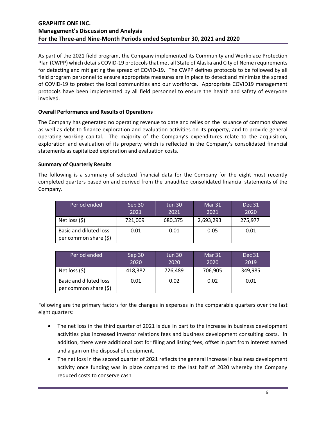As part of the 2021 field program, the Company implemented its Community and Workplace Protection Plan (CWPP) which details COVID-19 protocols that met all State of Alaska and City of Nome requirements for detecting and mitigating the spread of COVID-19. The CWPP defines protocols to be followed by all field program personnel to ensure appropriate measures are in place to detect and minimize the spread of COVID-19 to protect the local communities and our workforce. Appropriate COVID19 management protocols have been implemented by all field personnel to ensure the health and safety of everyone involved.

## **Overall Performance and Results of Operations**

The Company has generated no operating revenue to date and relies on the issuance of common shares as well as debt to finance exploration and evaluation activities on its property, and to provide general operating working capital. The majority of the Company's expenditures relate to the acquisition, exploration and evaluation of its property which is reflected in the Company's consolidated financial statements as capitalized exploration and evaluation costs.

### **Summary of Quarterly Results**

The following is a summary of selected financial data for the Company for the eight most recently completed quarters based on and derived from the unaudited consolidated financial statements of the Company.

| Period ended                                           | Sep 30<br>2021 | <b>Jun 30</b><br>2021 | Mar 31<br>2021 | <b>Dec 31</b><br>2020 |
|--------------------------------------------------------|----------------|-----------------------|----------------|-----------------------|
| Net loss $(5)$                                         | 721,009        | 680,375               | 2,693,293      | 275,977               |
| <b>Basic and diluted loss</b><br>per common share (\$) | 0.01           | 0.01                  | 0.05           | 0.01                  |

| Period ended                                    | Sep 30<br>2020 | <b>Jun 30</b><br>2020 | Mar 31<br>2020 | <b>Dec 31</b><br>2019 |
|-------------------------------------------------|----------------|-----------------------|----------------|-----------------------|
| Net loss $(5)$                                  | 418,382        | 726,489               | 706,905        | 349,985               |
| Basic and diluted loss<br>per common share (\$) | 0.01           | 0.02                  | 0.02           | 0.01                  |

Following are the primary factors for the changes in expenses in the comparable quarters over the last eight quarters:

- The net loss in the third quarter of 2021 is due in part to the increase in business development activities plus increased investor relations fees and business development consulting costs. In addition, there were additional cost for filing and listing fees, offset in part from interest earned and a gain on the disposal of equipment.
- The net loss in the second quarter of 2021 reflects the general increase in business development activity once funding was in place compared to the last half of 2020 whereby the Company reduced costs to conserve cash.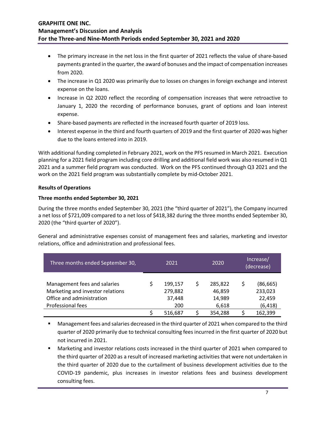- The primary increase in the net loss in the first quarter of 2021 reflects the value of share-based payments granted in the quarter, the award of bonuses and the impact of compensation increases from 2020.
- The increase in Q1 2020 was primarily due to losses on changes in foreign exchange and interest expense on the loans.
- Increase in Q2 2020 reflect the recording of compensation increases that were retroactive to January 1, 2020 the recording of performance bonuses, grant of options and loan interest expense.
- Share-based payments are reflected in the increased fourth quarter of 2019 loss.
- Interest expense in the third and fourth quarters of 2019 and the first quarter of 2020 was higher due to the loans entered into in 2019.

With additional funding completed in February 2021, work on the PFS resumed in March 2021. Execution planning for a 2021 field program including core drilling and additional field work was also resumed in Q1 2021 and a summer field program was conducted. Work on the PFS continued through Q3 2021 and the work on the 2021 field program was substantially complete by mid-October 2021.

# **Results of Operations**

## **Three months ended September 30, 2021**

During the three months ended September 30, 2021 (the "third quarter of 2021"), the Company incurred a net loss of \$721,009 compared to a net loss of \$418,382 during the three months ended September 30, 2020 (the "third quarter of 2020").

General and administrative expenses consist of management fees and salaries, marketing and investor relations, office and administration and professional fees.

| Three months ended September 30,                                                                                   | 2021                                |         |   | 2020                                 | Increase/<br>(decrease) |                                            |  |
|--------------------------------------------------------------------------------------------------------------------|-------------------------------------|---------|---|--------------------------------------|-------------------------|--------------------------------------------|--|
| Management fees and salaries<br>Marketing and investor relations<br>Office and administration<br>Professional fees | 199,157<br>279,882<br>37,448<br>200 |         | Ś | 285,822<br>46,859<br>14,989<br>6,618 |                         | (86, 665)<br>233,023<br>22,459<br>(6, 418) |  |
|                                                                                                                    |                                     | 516,687 |   | 354,288                              |                         | 162,399                                    |  |

- Management fees and salaries decreased in the third quarter of 2021 when compared to the third quarter of 2020 primarily due to technical consulting fees incurred in the first quarter of 2020 but not incurred in 2021.
- Marketing and investor relations costs increased in the third quarter of 2021 when compared to the third quarter of 2020 as a result of increased marketing activities that were not undertaken in the third quarter of 2020 due to the curtailment of business development activities due to the COVID-19 pandemic, plus increases in investor relations fees and business development consulting fees.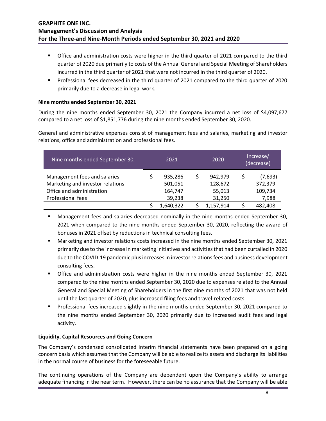- **The Strath Control** of 2021 compared to the third softee higher in the third quarter of 2021 compared to the third quarter of 2020 due primarily to costs of the Annual General and Special Meeting of Shareholders incurred in the third quarter of 2021 that were not incurred in the third quarter of 2020.
- Professional fees decreased in the third quarter of 2021 compared to the third quarter of 2020 primarily due to a decrease in legal work.

## **Nine months ended September 30, 2021**

During the nine months ended September 30, 2021 the Company incurred a net loss of \$4,097,677 compared to a net loss of \$1,851,776 during the nine months ended September 30, 2020.

General and administrative expenses consist of management fees and salaries, marketing and investor relations, office and administration and professional fees.

| Nine months ended September 30,                                  | 2021 |                    |   | 2020               | Increase/<br>(decrease) |  |  |
|------------------------------------------------------------------|------|--------------------|---|--------------------|-------------------------|--|--|
| Management fees and salaries<br>Marketing and investor relations |      | 935,286<br>501,051 | S | 942,979<br>128,672 | (7,693)<br>372,379      |  |  |
| Office and administration                                        |      | 164,747            |   | 55,013             | 109,734                 |  |  |
| Professional fees                                                |      | 39,238             |   | 31,250             | 7,988                   |  |  |
|                                                                  |      | 1,640,322          |   | 1,157,914          | 482,408                 |  |  |

- **Management fees and salaries decreased nominally in the nine months ended September 30,** 2021 when compared to the nine months ended September 30, 2020, reflecting the award of bonuses in 2021 offset by reductions in technical consulting fees.
- Marketing and investor relations costs increased in the nine months ended September 30, 2021 primarily due to the increase in marketing initiatives and activities that had been curtailed in 2020 due to the COVID-19 pandemic plus increases in investor relations fees and business development consulting fees.
- Office and administration costs were higher in the nine months ended September 30, 2021 compared to the nine months ended September 30, 2020 due to expenses related to the Annual General and Special Meeting of Shareholders in the first nine months of 2021 that was not held until the last quarter of 2020, plus increased filing fees and travel-related costs.
- **Professional fees increased slightly in the nine months ended September 30, 2021 compared to** the nine months ended September 30, 2020 primarily due to increased audit fees and legal activity.

## **Liquidity, Capital Resources and Going Concern**

The Company's condensed consolidated interim financial statements have been prepared on a going concern basis which assumes that the Company will be able to realize its assets and discharge its liabilities in the normal course of business for the foreseeable future.

The continuing operations of the Company are dependent upon the Company's ability to arrange adequate financing in the near term. However, there can be no assurance that the Company will be able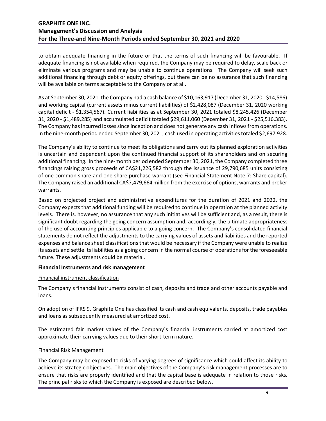to obtain adequate financing in the future or that the terms of such financing will be favourable. If adequate financing is not available when required, the Company may be required to delay, scale back or eliminate various programs and may be unable to continue operations. The Company will seek such additional financing through debt or equity offerings, but there can be no assurance that such financing will be available on terms acceptable to the Company or at all.

As at September 30, 2021, the Company had a cash balance of \$10,163,917 (December 31, 2020 - \$14,586) and working capital (current assets minus current liabilities) of \$2,428,087 (December 31, 2020 working capital deficit - \$1,354,567). Current liabilities as at September 30, 2021 totaled \$8,245,426 (December 31, 2020 - \$1,489,285) and accumulated deficit totaled \$29,611,060 (December 31, 2021 - \$25,516,383). The Company has incurred losses since inception and does not generate any cash inflows from operations. In the nine-month period ended September 30, 2021, cash used in operating activities totaled \$2,697,928.

The Company's ability to continue to meet its obligations and carry out its planned exploration activities is uncertain and dependent upon the continued financial support of its shareholders and on securing additional financing. In the nine-month period ended September 30, 2021, the Company completed three financings raising gross proceeds of CA\$21,226,582 through the issuance of 29,790,685 units consisting of one common share and one share purchase warrant (see Financial Statement Note 7: Share capital). The Company raised an additional CA\$7,479,664 million from the exercise of options, warrants and broker warrants.

Based on projected project and administrative expenditures for the duration of 2021 and 2022, the Company expects that additional funding will be required to continue in operation at the planned activity levels. There is, however, no assurance that any such initiatives will be sufficient and, as a result, there is significant doubt regarding the going concern assumption and, accordingly, the ultimate appropriateness of the use of accounting principles applicable to a going concern. The Company's consolidated financial statements do not reflect the adjustments to the carrying values of assets and liabilities and the reported expenses and balance sheet classifications that would be necessary if the Company were unable to realize its assets and settle its liabilities as a going concern in the normal course of operations for the foreseeable future. These adjustments could be material.

#### **Financial Instruments and risk management**

#### Financial instrument classification

The Company`s financial instruments consist of cash, deposits and trade and other accounts payable and loans.

On adoption of IFRS 9, Graphite One has classified its cash and cash equivalents, deposits, trade payables and loans as subsequently measured at amortized cost.

The estimated fair market values of the Company`s financial instruments carried at amortized cost approximate their carrying values due to their short-term nature.

#### Financial Risk Management

The Company may be exposed to risks of varying degrees of significance which could affect its ability to achieve its strategic objectives. The main objectives of the Company's risk management processes are to ensure that risks are properly identified and that the capital base is adequate in relation to those risks. The principal risks to which the Company is exposed are described below.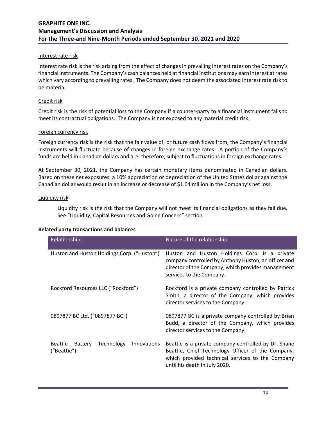#### Interest rate risk

Interest rate risk is the risk arising from the effect of changes in prevailing interest rates on the Company's financial instruments. The Company's cash balances held at financial institutions may earn interest at rates which vary according to prevailing rates. The Company does not deem the associated interest rate risk to be material.

### Credit risk

Credit risk is the risk of potential loss to the Company if a counter-party to a financial instrument fails to meet its contractual obligations. The Company is not exposed to any material credit risk.

#### Foreign currency risk

Foreign currency risk is the risk that the fair value of, or future cash flows from, the Company's financial instruments will fluctuate because of changes in foreign exchange rates. A portion of the Company's funds are held in Canadian dollars and are, therefore, subject to fluctuations in foreign exchange rates.

At September 30, 2021, the Company has certain monetary items denominated in Canadian dollars. Based on these net exposures, a 10% appreciation or depreciation of the United States dollar against the Canadian dollar would result in an increase or decrease of \$1.04 million in the Company's net loss.

### Liquidity risk

Liquidity risk is the risk that the Company will not meet its financial obligations as they fall due. See "Liquidity, Capital Resources and Going Concern" section.

#### **Related party transactions and balances**

| Relationships                                                         | Nature of the relationship                                                                                                                                                                     |  |  |  |  |
|-----------------------------------------------------------------------|------------------------------------------------------------------------------------------------------------------------------------------------------------------------------------------------|--|--|--|--|
| Huston and Huston Holdings Corp. ("Huston")                           | Huston and Huston Holdings Corp. is a private<br>company controlled by Anthony Huston, an officer and<br>director of the Company, which provides management<br>services to the Company.        |  |  |  |  |
| Rockford Resources LLC ("Rockford")                                   | Rockford is a private company controlled by Patrick<br>Smith, a director of the Company, which provides<br>director services to the Company.                                                   |  |  |  |  |
| 0897877 BC Ltd. ("0897877 BC")                                        | 0897877 BC is a private company controlled by Brian<br>Budd, a director of the Company, which provides<br>director services to the Company.                                                    |  |  |  |  |
| Technology<br><b>Beattie</b><br>Innovations<br>Battery<br>("Beattie") | Beattie is a private company controlled by Dr. Shane<br>Beattie, Chief Technology Officer of the Company,<br>which provided technical services to the Company<br>until his death in July 2020. |  |  |  |  |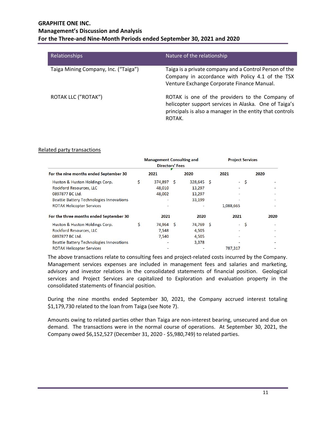| Relationships                        | Nature of the relationship                                                                                                                                                     |
|--------------------------------------|--------------------------------------------------------------------------------------------------------------------------------------------------------------------------------|
| Taiga Mining Company, Inc. ("Taiga") | Taiga is a private company and a Control Person of the<br>Company in accordance with Policy 4.1 of the TSX<br>Venture Exchange Corporate Finance Manual.                       |
| ROTAK LLC ("ROTAK")                  | ROTAK is one of the providers to the Company of<br>helicopter support services in Alaska. One of Taiga's<br>principals is also a manager in the entity that controls<br>ROTAK. |

#### Related party transactions

|                                                 | <b>Management Consulting and</b> |                        |  |              |  | <b>Project Services</b> |      |      |  |
|-------------------------------------------------|----------------------------------|------------------------|--|--------------|--|-------------------------|------|------|--|
|                                                 |                                  | <b>Directors' Fees</b> |  |              |  |                         |      |      |  |
| For the nine months ended September 30          |                                  | 2021                   |  | 2020         |  | 2021                    |      | 2020 |  |
| Huston & Huston Holdings Corp.                  | \$                               | 374,897 \$             |  | $328,645$ \$ |  |                         | - \$ |      |  |
| <b>Rockford Resources, LLC</b>                  |                                  | 48,010                 |  | 13,297       |  |                         |      |      |  |
| 0897877 BC Ltd.                                 |                                  | 48,002                 |  | 13,297       |  |                         |      |      |  |
| <b>Beattie Battery Technologies Innovations</b> |                                  |                        |  | 33,199       |  |                         |      |      |  |
| <b>ROTAK Helicopter Services</b>                |                                  |                        |  |              |  | 1,088,665               |      |      |  |
| For the three months ended September 30         |                                  | 2021                   |  | 2020         |  | 2021                    |      | 2020 |  |
| Huston & Huston Holdings Corp.                  | \$                               | 74,964 \$              |  | 74,769 \$    |  |                         | - \$ |      |  |
| <b>Rockford Resources, LLC</b>                  |                                  | 7,548                  |  | 4,505        |  |                         |      |      |  |
| 0897877 BC Ltd.                                 |                                  | 7,540                  |  | 4,505        |  |                         |      |      |  |
| <b>Beattie Battery Technologies Innovations</b> |                                  |                        |  | 3,378        |  |                         |      |      |  |
| <b>ROTAK Helicopter Services</b>                |                                  |                        |  |              |  | 787,317                 |      |      |  |

The above transactions relate to consulting fees and project-related costs incurred by the Company. Management services expenses are included in management fees and salaries and marketing, advisory and investor relations in the consolidated statements of financial position. Geological services and Project Services are capitalized to Exploration and evaluation property in the consolidated statements of financial position.

During the nine months ended September 30, 2021, the Company accrued interest totaling \$1,179,730 related to the loan from Taiga (see Note 7).

Amounts owing to related parties other than Taiga are non-interest bearing, unsecured and due on demand. The transactions were in the normal course of operations. At September 30, 2021, the Company owed \$6,152,527 (December 31, 2020 - \$5,980,749) to related parties.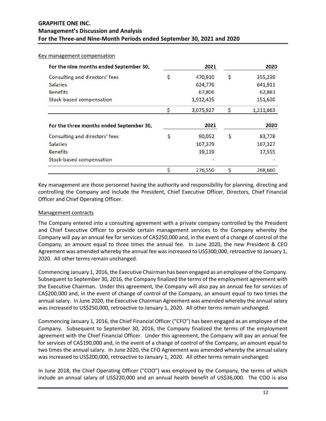| For the nine months ended September 30,  | 2021            | 2020                 |
|------------------------------------------|-----------------|----------------------|
| Consulting and directors' fees           | \$<br>470,910   | \$<br>355,239        |
| <b>Salaries</b>                          | 624,776         | 641,911              |
| <b>Benefits</b>                          | 67,806          | 62,883               |
| Stock-based compensation                 | 1,912,435       | 151,630              |
|                                          | \$<br>3,075,927 | \$<br>1,211,663      |
|                                          |                 |                      |
| For the three months ended September 30, | 2021            |                      |
| Consulting and directors' fees           | \$<br>90,052    | \$<br>2020<br>83,778 |
| <b>Salaries</b>                          | 167,379         | 167,327              |
| <b>Benefits</b>                          | 19,119          | 17,555               |
| Stock-based compensation                 |                 |                      |

Key management are those personnel having the authority and responsibility for planning, directing and controlling the Company and include the President, Chief Executive Officer, Directors, Chief Financial Officer and Chief Operating Officer.

## Management contracts

The Company entered into a consulting agreement with a private company controlled by the President and Chief Executive Officer to provide certain management services to the Company whereby the Company will pay an annual fee for services of CA\$250,000 and, in the event of a change of control of the Company, an amount equal to three times the annual fee. In June 2020, the new President & CEO Agreement was amended whereby the annual fee was increased to US\$300,000, retroactive to January 1, 2020. All other terms remain unchanged.

Commencing January 1, 2016, the Executive Chairman has been engaged as an employee of the Company. Subsequent to September 30, 2016, the Company finalized the terms of the employment agreement with the Executive Chairman. Under this agreement, the Company will also pay an annual fee for services of CA\$200,000 and, in the event of change of control of the Company, an amount equal to two times the annual salary. In June 2020, the Executive Chairman Agreement was amended whereby the annual salary was increased to US\$250,000, retroactive to January 1, 2020. All other terms remain unchanged.

Commencing January 1, 2016, the Chief Financial Officer ("CFO") has been engaged as an employee of the Company. Subsequent to September 30, 2016, the Company finalized the terms of the employment agreement with the Chief Financial Officer. Under this agreement, the Company will pay an annual fee for services of CA\$190,000 and, in the event of a change of control of the Company, an amount equal to two times the annual salary. In June 2020, the CFO Agreement was amended whereby the annual salary was increased to US\$200,000, retroactive to January 1, 2020. All other terms remain unchanged.

In June 2018, the Chief Operating Officer ("COO") was employed by the Company, the terms of which include an annual salary of US\$220,000 and an annual health benefit of US\$36,000. The COO is also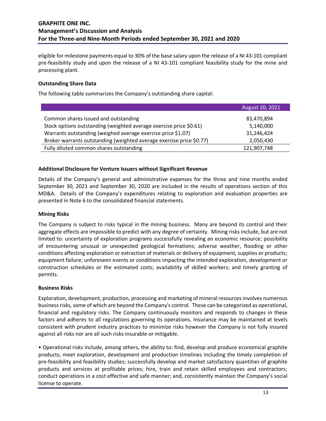eligible for milestone payments equal to 30% of the base salary upon the release of a NI 43-101 compliant pre-feasibility study and upon the release of a NI 43-101 compliant feasibility study for the mine and processing plant.

### **Outstanding Share Data**

The following table summarizes the Company's outstanding share capital:

| August 20, 2021 |
|-----------------|
| 83,470,894      |
| 5,140,000       |
| 31,246,424      |
| 2,050,430       |
| 121,907,748     |
|                 |

### **Additional Disclosure for Venture Issuers without Significant Revenue**

Details of the Company's general and administrative expenses for the three and nine months ended September 30, 2021 and September 30, 2020 are included in the results of operations section of this MD&A. Details of the Company's expenditures relating to exploration and evaluation properties are presented in Note 6 to the consolidated financial statements.

#### **Mining Risks**

The Company is subject to risks typical in the mining business. Many are beyond its control and their aggregate effects are impossible to predict with any degree of certainty. Mining risks include, but are not limited to: uncertainty of exploration programs successfully revealing an economic resource; possibility of encountering unusual or unexpected geological formations; adverse weather, flooding or other conditions affecting exploration or extraction of materials or delivery of equipment, supplies or products; equipment failure; unforeseen events or conditions impacting the intended exploration, development or construction schedules or the estimated costs; availability of skilled workers; and timely granting of permits.

#### **Business Risks**

Exploration, development, production, processing and marketing of mineral resources involves numerous business risks, some of which are beyond the Company's control. These can be categorized as operational, financial and regulatory risks. The Company continuously monitors and responds to changes in these factors and adheres to all regulations governing its operations. Insurance may be maintained at levels consistent with prudent industry practices to minimize risks however the Company is not fully insured against all risks nor are all such risks insurable or mitigable.

• Operational risks include, among others, the ability to: find, develop and produce economical graphite products; meet exploration, development and production timelines including the timely completion of pre-feasibility and feasibility studies; successfully develop and market satisfactory quantities of graphite products and services at profitable prices; hire, train and retain skilled employees and contractors; conduct operations in a cost effective and safe manner; and, consistently maintain the Company's social license to operate.